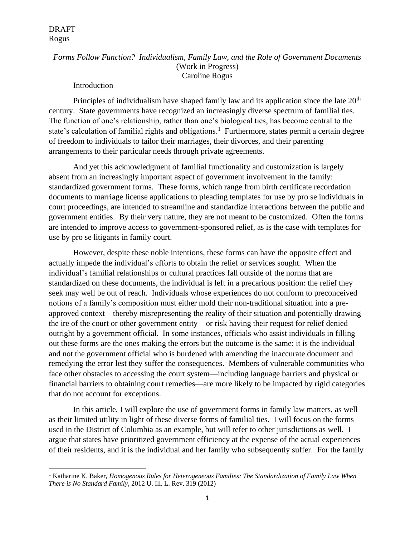# *Forms Follow Function? Individualism, Family Law, and the Role of Government Documents* (Work in Progress) Caroline Rogus

#### Introduction

Principles of individualism have shaped family law and its application since the late 20<sup>th</sup> century. State governments have recognized an increasingly diverse spectrum of familial ties. The function of one's relationship, rather than one's biological ties, has become central to the state's calculation of familial rights and obligations.<sup>1</sup> Furthermore, states permit a certain degree of freedom to individuals to tailor their marriages, their divorces, and their parenting arrangements to their particular needs through private agreements.

And yet this acknowledgment of familial functionality and customization is largely absent from an increasingly important aspect of government involvement in the family: standardized government forms. These forms, which range from birth certificate recordation documents to marriage license applications to pleading templates for use by pro se individuals in court proceedings, are intended to streamline and standardize interactions between the public and government entities. By their very nature, they are not meant to be customized. Often the forms are intended to improve access to government-sponsored relief, as is the case with templates for use by pro se litigants in family court.

However, despite these noble intentions, these forms can have the opposite effect and actually impede the individual's efforts to obtain the relief or services sought. When the individual's familial relationships or cultural practices fall outside of the norms that are standardized on these documents, the individual is left in a precarious position: the relief they seek may well be out of reach. Individuals whose experiences do not conform to preconceived notions of a family's composition must either mold their non-traditional situation into a preapproved context—thereby misrepresenting the reality of their situation and potentially drawing the ire of the court or other government entity—or risk having their request for relief denied outright by a government official. In some instances, officials who assist individuals in filling out these forms are the ones making the errors but the outcome is the same: it is the individual and not the government official who is burdened with amending the inaccurate document and remedying the error lest they suffer the consequences. Members of vulnerable communities who face other obstacles to accessing the court system—including language barriers and physical or financial barriers to obtaining court remedies—are more likely to be impacted by rigid categories that do not account for exceptions.

In this article, I will explore the use of government forms in family law matters, as well as their limited utility in light of these diverse forms of familial ties. I will focus on the forms used in the District of Columbia as an example, but will refer to other jurisdictions as well. I argue that states have prioritized government efficiency at the expense of the actual experiences of their residents, and it is the individual and her family who subsequently suffer. For the family

<sup>1</sup> Katharine K. Baker, *Homogenous Rules for Heterogeneous Families: The Standardization of Family Law When There is No Standard Family*, 2012 U. Ill. L. Rev. 319 (2012)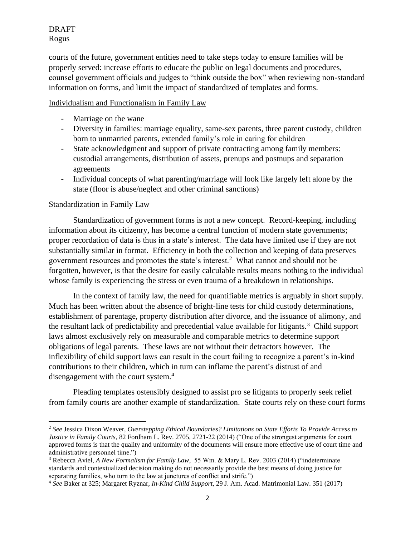courts of the future, government entities need to take steps today to ensure families will be properly served: increase efforts to educate the public on legal documents and procedures, counsel government officials and judges to "think outside the box" when reviewing non-standard information on forms, and limit the impact of standardized of templates and forms.

## Individualism and Functionalism in Family Law

- Marriage on the wane
- Diversity in families: marriage equality, same-sex parents, three parent custody, children born to unmarried parents, extended family's role in caring for children
- State acknowledgment and support of private contracting among family members: custodial arrangements, distribution of assets, prenups and postnups and separation agreements
- Individual concepts of what parenting/marriage will look like largely left alone by the state (floor is abuse/neglect and other criminal sanctions)

# Standardization in Family Law

Standardization of government forms is not a new concept. Record-keeping, including information about its citizenry, has become a central function of modern state governments; proper recordation of data is thus in a state's interest. The data have limited use if they are not substantially similar in format. Efficiency in both the collection and keeping of data preserves government resources and promotes the state's interest.<sup>2</sup> What cannot and should not be forgotten, however, is that the desire for easily calculable results means nothing to the individual whose family is experiencing the stress or even trauma of a breakdown in relationships.

In the context of family law, the need for quantifiable metrics is arguably in short supply. Much has been written about the absence of bright-line tests for child custody determinations, establishment of parentage, property distribution after divorce, and the issuance of alimony, and the resultant lack of predictability and precedential value available for litigants.<sup>3</sup> Child support laws almost exclusively rely on measurable and comparable metrics to determine support obligations of legal parents. These laws are not without their detractors however. The inflexibility of child support laws can result in the court failing to recognize a parent's in-kind contributions to their children, which in turn can inflame the parent's distrust of and disengagement with the court system.<sup>4</sup>

Pleading templates ostensibly designed to assist pro se litigants to properly seek relief from family courts are another example of standardization. State courts rely on these court forms

<sup>2</sup> *See* Jessica Dixon Weaver, *Overstepping Ethical Boundaries? Limitations on State Efforts To Provide Access to Justice in Family Courts*, 82 Fordham L. Rev. 2705, 2721-22 (2014) ("One of the strongest arguments for court approved forms is that the quality and uniformity of the documents will ensure more effective use of court time and administrative personnel time.")

<sup>3</sup> Rebecca Aviel, *A New Formalism for Family Law*, 55 Wm. & Mary L. Rev. 2003 (2014) ("indeterminate standards and contextualized decision making do not necessarily provide the best means of doing justice for separating families, who turn to the law at junctures of conflict and strife.")

<sup>4</sup> *See* Baker at 325; Margaret Ryznar, *In-Kind Child Support*, 29 J. Am. Acad. Matrimonial Law. 351 (2017)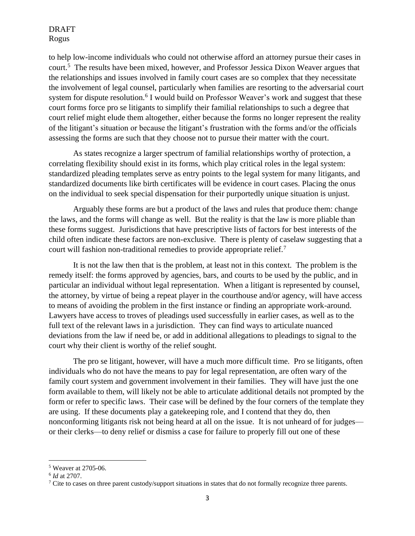to help low-income individuals who could not otherwise afford an attorney pursue their cases in court.<sup>5</sup> The results have been mixed, however, and Professor Jessica Dixon Weaver argues that the relationships and issues involved in family court cases are so complex that they necessitate the involvement of legal counsel, particularly when families are resorting to the adversarial court system for dispute resolution.<sup>6</sup> I would build on Professor Weaver's work and suggest that these court forms force pro se litigants to simplify their familial relationships to such a degree that court relief might elude them altogether, either because the forms no longer represent the reality of the litigant's situation or because the litigant's frustration with the forms and/or the officials assessing the forms are such that they choose not to pursue their matter with the court.

As states recognize a larger spectrum of familial relationships worthy of protection, a correlating flexibility should exist in its forms, which play critical roles in the legal system: standardized pleading templates serve as entry points to the legal system for many litigants, and standardized documents like birth certificates will be evidence in court cases. Placing the onus on the individual to seek special dispensation for their purportedly unique situation is unjust.

Arguably these forms are but a product of the laws and rules that produce them: change the laws, and the forms will change as well. But the reality is that the law is more pliable than these forms suggest. Jurisdictions that have prescriptive lists of factors for best interests of the child often indicate these factors are non-exclusive. There is plenty of caselaw suggesting that a court will fashion non-traditional remedies to provide appropriate relief.<sup>7</sup>

It is not the law then that is the problem, at least not in this context. The problem is the remedy itself: the forms approved by agencies, bars, and courts to be used by the public, and in particular an individual without legal representation. When a litigant is represented by counsel, the attorney, by virtue of being a repeat player in the courthouse and/or agency, will have access to means of avoiding the problem in the first instance or finding an appropriate work-around. Lawyers have access to troves of pleadings used successfully in earlier cases, as well as to the full text of the relevant laws in a jurisdiction. They can find ways to articulate nuanced deviations from the law if need be, or add in additional allegations to pleadings to signal to the court why their client is worthy of the relief sought.

The pro se litigant, however, will have a much more difficult time. Pro se litigants, often individuals who do not have the means to pay for legal representation, are often wary of the family court system and government involvement in their families. They will have just the one form available to them, will likely not be able to articulate additional details not prompted by the form or refer to specific laws. Their case will be defined by the four corners of the template they are using. If these documents play a gatekeeping role, and I contend that they do, then nonconforming litigants risk not being heard at all on the issue. It is not unheard of for judges or their clerks—to deny relief or dismiss a case for failure to properly fill out one of these

<sup>5</sup> Weaver at 2705-06.

<sup>6</sup> *Id* at 2707.

 $\frac{7}{7}$  Cite to cases on three parent custody/support situations in states that do not formally recognize three parents.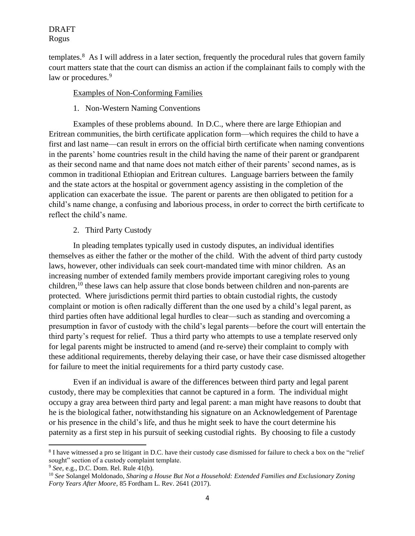templates.<sup>8</sup> As I will address in a later section, frequently the procedural rules that govern family court matters state that the court can dismiss an action if the complainant fails to comply with the law or procedures.<sup>9</sup>

## Examples of Non-Conforming Families

1. Non-Western Naming Conventions

Examples of these problems abound. In D.C., where there are large Ethiopian and Eritrean communities, the birth certificate application form—which requires the child to have a first and last name—can result in errors on the official birth certificate when naming conventions in the parents' home countries result in the child having the name of their parent or grandparent as their second name and that name does not match either of their parents' second names, as is common in traditional Ethiopian and Eritrean cultures. Language barriers between the family and the state actors at the hospital or government agency assisting in the completion of the application can exacerbate the issue. The parent or parents are then obligated to petition for a child's name change, a confusing and laborious process, in order to correct the birth certificate to reflect the child's name.

## 2. Third Party Custody

In pleading templates typically used in custody disputes, an individual identifies themselves as either the father or the mother of the child. With the advent of third party custody laws, however, other individuals can seek court-mandated time with minor children. As an increasing number of extended family members provide important caregiving roles to young children,<sup>10</sup> these laws can help assure that close bonds between children and non-parents are protected. Where jurisdictions permit third parties to obtain custodial rights, the custody complaint or motion is often radically different than the one used by a child's legal parent, as third parties often have additional legal hurdles to clear—such as standing and overcoming a presumption in favor of custody with the child's legal parents—before the court will entertain the third party's request for relief. Thus a third party who attempts to use a template reserved only for legal parents might be instructed to amend (and re-serve) their complaint to comply with these additional requirements, thereby delaying their case, or have their case dismissed altogether for failure to meet the initial requirements for a third party custody case.

Even if an individual is aware of the differences between third party and legal parent custody, there may be complexities that cannot be captured in a form. The individual might occupy a gray area between third party and legal parent: a man might have reasons to doubt that he is the biological father, notwithstanding his signature on an Acknowledgement of Parentage or his presence in the child's life, and thus he might seek to have the court determine his paternity as a first step in his pursuit of seeking custodial rights. By choosing to file a custody

<sup>&</sup>lt;sup>8</sup> I have witnessed a pro se litigant in D.C. have their custody case dismissed for failure to check a box on the "relief sought" section of a custody complaint template.

<sup>9</sup> *See*, e.g., D.C. Dom. Rel. Rule 41(b).

<sup>10</sup> *See* Solangel Moldonado, *Sharing a House But Not a Household: Extended Families and Exclusionary Zoning Forty Years After Moore*, 85 Fordham L. Rev. 2641 (2017).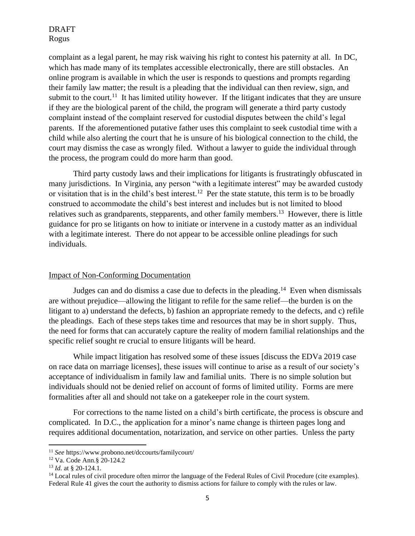complaint as a legal parent, he may risk waiving his right to contest his paternity at all. In DC, which has made many of its templates accessible electronically, there are still obstacles. An online program is available in which the user is responds to questions and prompts regarding their family law matter; the result is a pleading that the individual can then review, sign, and submit to the court.<sup>11</sup> It has limited utility however. If the litigant indicates that they are unsure if they are the biological parent of the child, the program will generate a third party custody complaint instead of the complaint reserved for custodial disputes between the child's legal parents. If the aforementioned putative father uses this complaint to seek custodial time with a child while also alerting the court that he is unsure of his biological connection to the child, the court may dismiss the case as wrongly filed. Without a lawyer to guide the individual through the process, the program could do more harm than good.

Third party custody laws and their implications for litigants is frustratingly obfuscated in many jurisdictions. In Virginia, any person "with a legitimate interest" may be awarded custody or visitation that is in the child's best interest.<sup>12</sup> Per the state statute, this term is to be broadly construed to accommodate the child's best interest and includes but is not limited to blood relatives such as grandparents, stepparents, and other family members.<sup>13</sup> However, there is little guidance for pro se litigants on how to initiate or intervene in a custody matter as an individual with a legitimate interest. There do not appear to be accessible online pleadings for such individuals.

#### Impact of Non-Conforming Documentation

Judges can and do dismiss a case due to defects in the pleading.<sup>14</sup> Even when dismissals are without prejudice—allowing the litigant to refile for the same relief—the burden is on the litigant to a) understand the defects, b) fashion an appropriate remedy to the defects, and c) refile the pleadings. Each of these steps takes time and resources that may be in short supply. Thus, the need for forms that can accurately capture the reality of modern familial relationships and the specific relief sought re crucial to ensure litigants will be heard.

While impact litigation has resolved some of these issues [discuss the EDVa 2019 case on race data on marriage licenses], these issues will continue to arise as a result of our society's acceptance of individualism in family law and familial units. There is no simple solution but individuals should not be denied relief on account of forms of limited utility. Forms are mere formalities after all and should not take on a gatekeeper role in the court system.

For corrections to the name listed on a child's birth certificate, the process is obscure and complicated. In D.C., the application for a minor's name change is thirteen pages long and requires additional documentation, notarization, and service on other parties. Unless the party

<sup>11</sup> *See* https://www.probono.net/dccourts/familycourt/

<sup>12</sup> Va. Code Ann.§ 20-124.2

<sup>13</sup> *Id.* at § 20-124.1.

<sup>&</sup>lt;sup>14</sup> Local rules of civil procedure often mirror the language of the Federal Rules of Civil Procedure (cite examples). Federal Rule 41 gives the court the authority to dismiss actions for failure to comply with the rules or law.